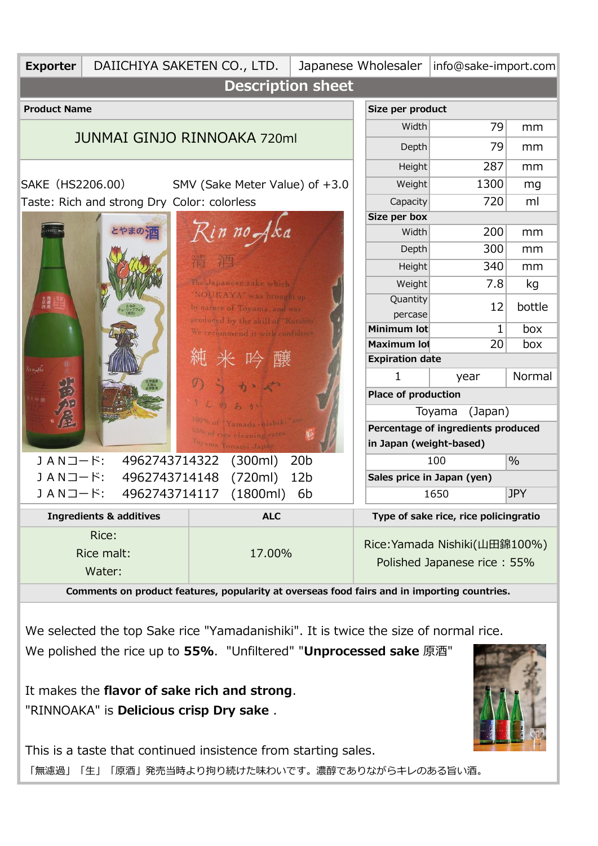| <b>Exporter</b>                                                                             | DAIICHIYA SAKETEN CO., LTD.                 |                                                          |                     | Japanese Wholesaler         |                                       | info@sake-import.com |               |  |  |  |  |
|---------------------------------------------------------------------------------------------|---------------------------------------------|----------------------------------------------------------|---------------------|-----------------------------|---------------------------------------|----------------------|---------------|--|--|--|--|
| <b>Description sheet</b>                                                                    |                                             |                                                          |                     |                             |                                       |                      |               |  |  |  |  |
| <b>Product Name</b><br>Size per product                                                     |                                             |                                                          |                     |                             |                                       |                      |               |  |  |  |  |
|                                                                                             |                                             |                                                          |                     |                             |                                       | 79                   | mm            |  |  |  |  |
|                                                                                             |                                             | <b>JUNMAI GINJO RINNOAKA 720ml</b>                       |                     |                             | <b>Depth</b>                          | 79                   | mm            |  |  |  |  |
|                                                                                             |                                             |                                                          |                     |                             | <b>Height</b>                         | 287                  | mm            |  |  |  |  |
| SAKE (HS2206.00)                                                                            | SMV (Sake Meter Value) of +3.0              |                                                          | Weight              | 1300                        | mg                                    |                      |               |  |  |  |  |
|                                                                                             | Taste: Rich and strong Dry Color: colorless |                                                          | Capacity            | 720                         | ml                                    |                      |               |  |  |  |  |
|                                                                                             |                                             |                                                          |                     |                             | Size per box                          |                      |               |  |  |  |  |
|                                                                                             |                                             |                                                          | Rin no Aka          |                             | Width                                 | 200                  | mm            |  |  |  |  |
|                                                                                             |                                             |                                                          |                     |                             | <b>Depth</b>                          | 300                  | mm            |  |  |  |  |
|                                                                                             |                                             |                                                          |                     |                             | <b>Height</b>                         | 340                  | mm            |  |  |  |  |
|                                                                                             |                                             | The Japanese sake which                                  |                     |                             | Weight                                | 7.8                  | kg            |  |  |  |  |
| 生態波                                                                                         |                                             | 'NOURAYA" was brought up<br>by nature of Toyama, and was |                     |                             | Quantity                              | 12                   | bottle        |  |  |  |  |
|                                                                                             |                                             | produced by the skill of "Kurabite"                      |                     |                             | percase                               |                      |               |  |  |  |  |
|                                                                                             |                                             | We recommend it with confidence                          |                     |                             | Minimum lot                           | 1                    | box           |  |  |  |  |
|                                                                                             |                                             |                                                          |                     |                             | Maximum lot                           | 20                   | box           |  |  |  |  |
| (12 se of ka                                                                                |                                             | 純米吟醸                                                     |                     |                             | <b>Expiration date</b>                |                      |               |  |  |  |  |
|                                                                                             |                                             |                                                          |                     |                             | 1                                     | year                 | Normal        |  |  |  |  |
|                                                                                             |                                             |                                                          |                     |                             | <b>Place of production</b>            |                      |               |  |  |  |  |
|                                                                                             |                                             | 100% of *Yamada-nishik                                   |                     | (Japan)<br>Toyama           |                                       |                      |               |  |  |  |  |
|                                                                                             |                                             | 05% of rice cleaning rates                               |                     |                             | Percentage of ingredients produced    |                      |               |  |  |  |  |
|                                                                                             |                                             |                                                          | Toyama Tonami Japan |                             | in Japan (weight-based)               |                      |               |  |  |  |  |
| JANコード:<br>4962743714322<br>JANコード:<br>4962743714148                                        |                                             | (300ml)                                                  | 20 <sub>b</sub>     |                             |                                       | 100                  | $\frac{0}{0}$ |  |  |  |  |
|                                                                                             |                                             | (720ml)                                                  | 12 <sub>b</sub>     |                             | Sales price in Japan (yen)            |                      |               |  |  |  |  |
| JANコード:                                                                                     | 4962743714117                               | (1800ml)                                                 | 6 <sub>b</sub>      |                             |                                       | 1650                 | <b>JPY</b>    |  |  |  |  |
| <b>Ingredients &amp; additives</b>                                                          |                                             | <b>ALC</b>                                               |                     |                             | Type of sake rice, rice policingratio |                      |               |  |  |  |  |
|                                                                                             | Rice:                                       |                                                          |                     |                             |                                       |                      |               |  |  |  |  |
|                                                                                             | Rice malt:                                  | 17.00%                                                   |                     |                             | Rice: Yamada Nishiki(山田錦100%)         |                      |               |  |  |  |  |
|                                                                                             | Water:                                      |                                                          |                     | Polished Japanese rice: 55% |                                       |                      |               |  |  |  |  |
| Comments on product features, popularity at overseas food fairs and in importing countries. |                                             |                                                          |                     |                             |                                       |                      |               |  |  |  |  |
|                                                                                             |                                             |                                                          |                     |                             |                                       |                      |               |  |  |  |  |
|                                                                                             |                                             |                                                          |                     |                             |                                       |                      |               |  |  |  |  |
| We selected the top Sake rice "Yamadanishiki". It is twice the size of normal rice.         |                                             |                                                          |                     |                             |                                       |                      |               |  |  |  |  |
| We polished the rice up to 55%. "Unfiltered" "Unprocessed sake 原酒"                          |                                             |                                                          |                     |                             |                                       |                      |               |  |  |  |  |
|                                                                                             |                                             |                                                          |                     |                             |                                       |                      |               |  |  |  |  |
| It makes the flavor of sake rich and strong.                                                |                                             |                                                          |                     |                             |                                       |                      |               |  |  |  |  |

"RINNOAKA" is **Delicious crisp Dry sake** .

This is a taste that continued insistence from starting sales.

「無濾過」「生」「原酒」発売当時より拘り続けた味わいです。濃醇でありながらキレのある旨い酒。